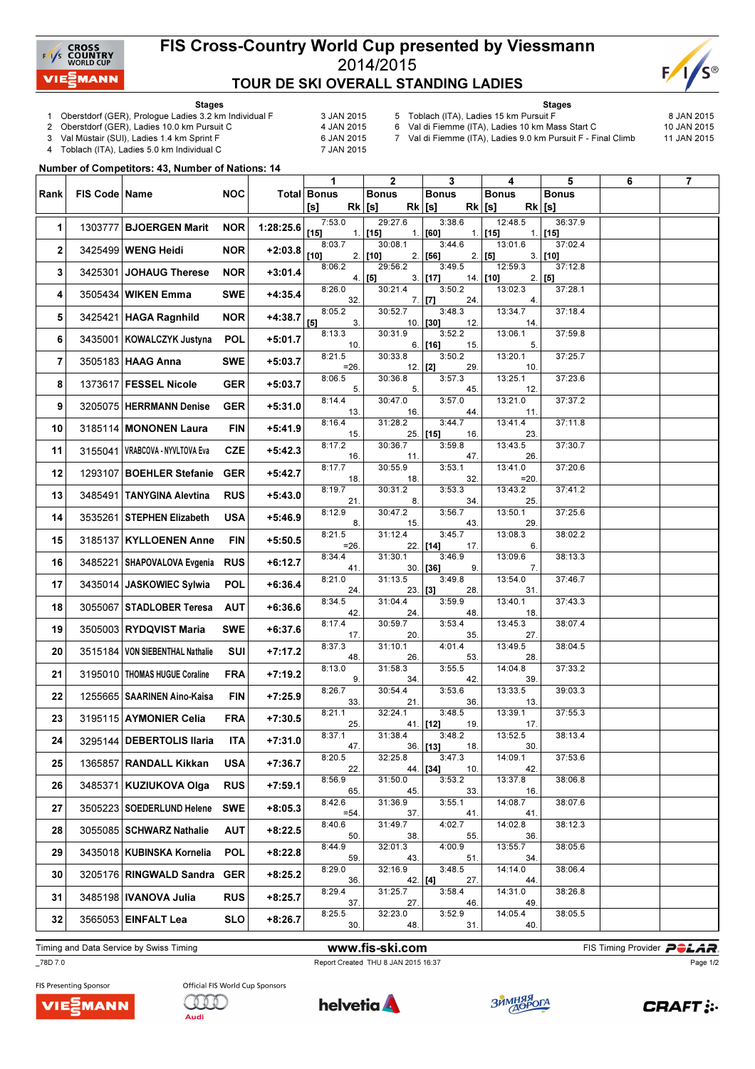

## FIS Cross-Country World Cup presented by Viessmann 2014/2015 TOUR DE SKI OVERALL STANDING LADIES



Stages

- 1 Oberstdorf (GER), Prologue Ladies 3.2 km Individual F 3 JAN 2015<br>2 Oberstdorf (GER), Ladies 10.0 km Pursuit C 4 JAN 2015
- 2 Oberstdorf (GER), Ladies 10.0 km Pursuit C

5 Toblach (ITA), Ladies 15 km Pursuit F 8 JAN 2015

6 Val di Fiemme (ITA), Ladies 10 km Mass Start C 10 JAN 2015 7 Val di Fiemme (ITA), Ladies 9.0 km Pursuit F - Final Climb 11 JAN 2015

Stages

3 Val Müstair (SUI), Ladies 1.4 km Sprint F<br>4 Toblach (ITA), Ladies 5.0 km Individual C 6 7 JAN 2015 Toblach (ITA), Ladies 5.0 km Individual C

Number of Competitors: 43, Number of Nations: 14

|      |                 |                                 |            |           | 1                       | $\overline{2}$           | 3                           | 4                        | 5                        | 6 | $\overline{7}$ |
|------|-----------------|---------------------------------|------------|-----------|-------------------------|--------------------------|-----------------------------|--------------------------|--------------------------|---|----------------|
| Rank | FIS Code   Name |                                 | <b>NOC</b> |           | Total Bonus<br>$Rk$ [s] | <b>Bonus</b><br>$Rk$ [s] | <b>Bonus</b>                | <b>Bonus</b><br>$Rk$ [s] | <b>Bonus</b><br>$Rk$ [s] |   |                |
|      |                 |                                 |            |           | [s]<br>7:53.0           | 29:27.6                  | 3:38.6                      | 12:48.5                  | 36:37.9                  |   |                |
| 1    | 1303777         | <b>BJOERGEN Marit</b>           | <b>NOR</b> | 1:28:25.6 | $[15]$                  | $1.$ [15]                | $1.$ [60]                   | $1.$ [15]                | $1.$ [15]                |   |                |
| 2    |                 | 3425499 WENG Heidi              | <b>NOR</b> | $+2:03.8$ | 8:03.7<br>[10]          | 30:08.1<br>$2.$ [10]     | 3:44.6<br>$2.$ [56]         | 13:01.6<br>$2.$ [5]      | 37:02.4<br>$3.$ [10]     |   |                |
| 3    | 3425301         | <b>JOHAUG Therese</b>           | <b>NOR</b> | +3:01.4   | 8:06.2                  | 29:56.2<br>$4.$ [5]      | 3:49.5<br>$3.$ [17]         | 12:59.3<br>$14.$ [10]    | 37:12.8<br>$2.$ [5]      |   |                |
| 4    |                 | 3505434   WIKEN Emma            | <b>SWE</b> | $+4:35.4$ | 8:26.0<br>32.           | 30:21.4                  | 3:50.2<br>$7.$ [7]<br>24.   | 13:02.3<br>4.            | 37:28.1                  |   |                |
| 5    |                 | 3425421 HAGA Ragnhild           | <b>NOR</b> | $+4:38.7$ | 8:05.2<br>[5]<br>3.     | 30:52.7<br>10.           | 3:48.3<br>$[30]$<br>12.     | 13:34.7<br>14.           | 37:18.4                  |   |                |
| 6    |                 | 3435001   KOWALCZYK Justyna     | <b>POL</b> | $+5:01.7$ | 8:13.3<br>10.           | 30:31.9                  | 3:52.2<br>6. [16]<br>15.    | 13:06.1<br>5.            | 37:59.8                  |   |                |
| 7    |                 | 3505183 HAAG Anna               | <b>SWE</b> | $+5:03.7$ | 8:21.5<br>$=26$ .       | 30:33.8<br>$12.$ [2]     | 3:50.2<br>29.               | 13:20.1<br>10.           | 37:25.7                  |   |                |
| 8    |                 | 1373617 FESSEL Nicole           | <b>GER</b> | $+5:03.7$ | 8:06.5<br>5.            | 30:36.8<br>5.            | 3:57.3<br>45.               | 13:25.1<br>12.           | 37:23.6                  |   |                |
| 9    |                 | 3205075 HERRMANN Denise         | <b>GER</b> | $+5:31.0$ | 8:14.4<br>13.           | 30:47.0<br>16.           | 3:57.0<br>44.               | 13:21.0<br>11.           | 37:37.2                  |   |                |
| 10   |                 | 3185114   MONONEN Laura         | FIN        | +5:41.9   | 8:16.4<br>15.           | 31:28.2                  | 3:44.7<br>25. [15]<br>16.   | 13:41.4<br>23.           | 37:11.8                  |   |                |
| 11   | 3155041         | VRABCOVA - NYVLTOVA Eva         | <b>CZE</b> | +5:42.3   | 8:17.2<br>16.           | 30:36.7<br>11.           | 3:59.8<br>47.               | 13:43.5<br>26.           | 37:30.7                  |   |                |
| 12   |                 | 1293107 BOEHLER Stefanie        | <b>GER</b> | +5:42.7   | 8:17.7<br>18.           | 30:55.9<br>18.           | 3:53.1<br>32.               | 13:41.0<br>$=20.$        | 37:20.6                  |   |                |
| 13   | 3485491         | TANYGINA Alevtina               | <b>RUS</b> | $+5:43.0$ | 8:19.7<br>21.           | 30:31.2<br>8.            | 3:53.3<br>34.               | 13:43.2<br>25.           | 37:41.2                  |   |                |
| 14   |                 | 3535261 STEPHEN Elizabeth       | <b>USA</b> | +5:46.9   | 8:12.9<br>8.            | 30:47.2<br>15.           | 3:56.7<br>43.               | 13:50.1<br>29.           | 37:25.6                  |   |                |
| 15   |                 | 3185137 KYLLOENEN Anne          | FIN        | +5:50.5   | 8:21.5<br>$=26.$        | 31:12.4                  | 3:45.7<br>$22.$ [14]<br>17. | 13:08.3<br>6.            | 38:02.2                  |   |                |
| 16   |                 | 3485221 SHAPOVALOVA Evgenia     | <b>RUS</b> | $+6:12.7$ | 8:34.4<br>41.           | 31:30.1                  | 3:46.9<br>$30.$ [36]<br>9.  | 13:09.6<br>7.            | 38:13.3                  |   |                |
| 17   |                 | 3435014 JASKOWIEC Sylwia        | <b>POL</b> | $+6:36.4$ | 8:21.0<br>24.           | 31:13.5<br>23.           | 3:49.8<br>[3]<br>28.        | 13:54.0<br>31.           | 37:46.7                  |   |                |
| 18   |                 | 3055067 STADLOBER Teresa        | <b>AUT</b> | $+6:36.6$ | 8:34.5<br>42.           | 31:04.4<br>24.           | 3:59.9<br>48.               | 13:40.1<br>18.           | 37:43.3                  |   |                |
| 19   |                 | 3505003 RYDQVIST Maria          | <b>SWE</b> | $+6:37.6$ | 8:17.4<br>17.           | 30:59.7<br>20.           | 3:53.4<br>35.               | 13:45.3<br>27.           | 38:07.4                  |   |                |
| 20   |                 | 3515184 VON SIEBENTHAL Nathalie | SUI        | $+7:17.2$ | 8:37.3<br>48.           | 31:10.1<br>26.           | 4:01.4<br>53.               | 13:49.5<br>28.           | 38:04.5                  |   |                |
| 21   |                 | 3195010   THOMAS HUGUE Coraline | <b>FRA</b> | $+7:19.2$ | 8:13.0<br>9.            | 31:58.3<br>34.           | 3:55.5<br>42.               | 14:04.8<br>39.           | 37:33.2                  |   |                |
| 22   |                 | 1255665   SAARINEN Aino-Kaisa   | <b>FIN</b> | $+7:25.9$ | 8:26.7<br>33.           | 30:54.4<br>21.           | 3:53.6<br>36.               | 13:33.5<br>13.           | 39:03.3                  |   |                |
| 23   |                 | 3195115 AYMONIER Celia          | <b>FRA</b> | $+7:30.5$ | 8:21.1<br>25.           | 32:24.1                  | 3:48.5<br>41. [12]<br>19.   | 13:39.1<br>17.           | 37:55.3                  |   |                |
| 24   |                 | 3295144 DEBERTOLIS Ilaria       | <b>ITA</b> | $+7:31.0$ | 8:37.1<br>47.           | 31:38.4                  | 3:48.2<br>$36.$ [13]<br>18. | 13:52.5<br>30.           | 38:13.4                  |   |                |
| 25   |                 | 1365857 RANDALL Kikkan          | USA        | +7:36.7   | 8:20.5<br>22.           | 32:25.8                  | 3:47.3<br>44. [34]<br>10.   | 14:09.1<br>42.           | 37:53.6                  |   |                |
| 26   |                 | 3485371   KUZIUKOVA Olga        | <b>RUS</b> | $+7:59.1$ | 8:56.9<br>65.           | 31:50.0<br>45.           | 3:53.2<br>33.               | 13:37.8<br>16.           | 38:06.8                  |   |                |
| 27   |                 | 3505223   SOEDERLUND Helene     | <b>SWE</b> | $+8:05.3$ | 8:42.6<br>$= 54.$       | 31:36.9<br>37.           | 3:55.1<br>41.               | 14:08.7<br>41.           | 38:07.6                  |   |                |
| 28   |                 | 3055085   SCHWARZ Nathalie      | AUT        | $+8:22.5$ | 8:40.6<br>50.           | 31:49.7<br>38.           | 4:02.7<br>55.               | 14:02.8<br>36.           | 38:12.3                  |   |                |
| 29   |                 | 3435018 KUBINSKA Kornelia       | <b>POL</b> | +8:22.8   | 8:44.9<br>59.           | 32:01.3<br>43.           | 4:00.9<br>51.               | 13:55.7<br>34.           | 38:05.6                  |   |                |
| 30   |                 | 3205176 RINGWALD Sandra         | <b>GER</b> | $+8:25.2$ | 8:29.0<br>36.           | 32:16.9<br>$42.$ [4]     | 3:48.5<br>27.               | 14:14.0<br>44.           | 38:06.4                  |   |                |
| 31   |                 | 3485198   IVANOVA Julia         | <b>RUS</b> | +8:25.7   | 8:29.4<br>37.           | 31:25.7<br>27.           | 3:58.4<br>46.               | 14:31.0<br>49.           | 38:26.8                  |   |                |
| 32   |                 | 3565053 EINFALT Lea             | SLO        | $+8:26.7$ | 8:25.5<br>30.           | 32:23.0<br>48.           | 3:52.9<br>31.               | 14:05.4<br>40.           | 38:05.5                  |   |                |

Timing and Data Service by Swiss Timing **WWW.fis-ski.com** FIS Timing Provider **PCLAR** 

\_78D 7.0 Report Created THU 8 JAN 2015 16:37

Page 1/2